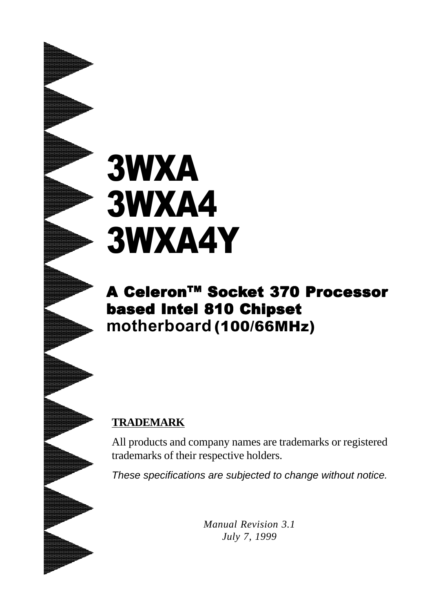# 3WXA 3WXA4 3WXA4Y

# A Celeron™ Socket 370 Processor based Intel 810 Chipset **motherboard** (100/66MHz)

#### **TRADEMARK**

All products and company names are trademarks or registered trademarks of their respective holders.

*These specifications are subjected to change without notice.*

*Manual Revision 3.1 July 7, 1999*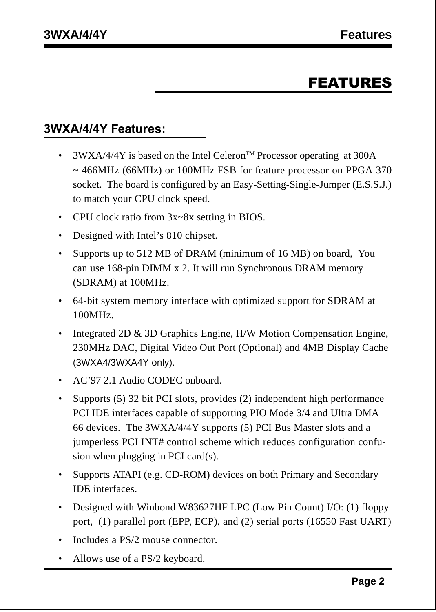## FEATURES

#### **3WXA/4/4Y Features:**

- 3WXA/4/4Y is based on the Intel Celeron<sup>TM</sup> Processor operating at 300A ~ 466MHz (66MHz) or 100MHz FSB for feature processor on PPGA 370 socket. The board is configured by an Easy-Setting-Single-Jumper (E.S.S.J.) to match your CPU clock speed.
- CPU clock ratio from  $3x-8x$  setting in BIOS.
- Designed with Intel's 810 chipset.
- Supports up to 512 MB of DRAM (minimum of 16 MB) on board, You can use 168-pin DIMM x 2. It will run Synchronous DRAM memory (SDRAM) at 100MHz.
- 64-bit system memory interface with optimized support for SDRAM at 100MHz.
- Integrated 2D & 3D Graphics Engine, H/W Motion Compensation Engine, 230MHz DAC, Digital Video Out Port (Optional) and 4MB Display Cache (3WXA4/3WXA4Y only).
- AC'97 2.1 Audio CODEC onboard.
- Supports (5) 32 bit PCI slots, provides (2) independent high performance PCI IDE interfaces capable of supporting PIO Mode 3/4 and Ultra DMA 66 devices. The 3WXA/4/4Y supports (5) PCI Bus Master slots and a jumperless PCI INT# control scheme which reduces configuration confusion when plugging in PCI card(s).
- Supports ATAPI (e.g. CD-ROM) devices on both Primary and Secondary IDE interfaces.
- Designed with Winbond W83627HF LPC (Low Pin Count) I/O: (1) floppy port, (1) parallel port (EPP, ECP), and (2) serial ports (16550 Fast UART)
- Includes a PS/2 mouse connector.
- Allows use of a PS/2 keyboard.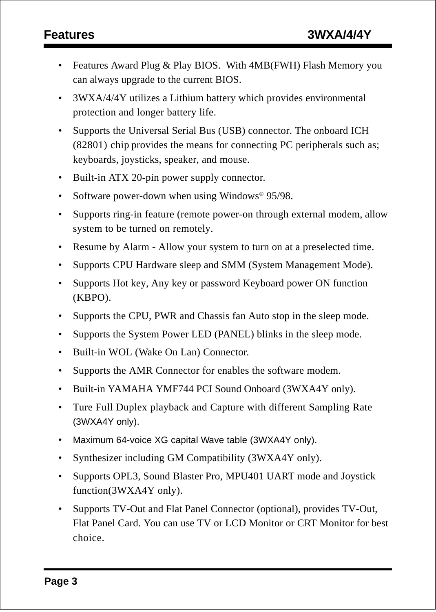- Features Award Plug & Play BIOS. With 4MB(FWH) Flash Memory you can always upgrade to the current BIOS.
- 3WXA/4/4Y utilizes a Lithium battery which provides environmental protection and longer battery life.
- Supports the Universal Serial Bus (USB) connector. The onboard ICH (82801) chip provides the means for connecting PC peripherals such as; keyboards, joysticks, speaker, and mouse.
- Built-in ATX 20-pin power supply connector.
- Software power-down when using Windows<sup>®</sup> 95/98.
- Supports ring-in feature (remote power-on through external modem, allow system to be turned on remotely.
- Resume by Alarm Allow your system to turn on at a preselected time.
- Supports CPU Hardware sleep and SMM (System Management Mode).
- Supports Hot key, Any key or password Keyboard power ON function (KBPO).
- Supports the CPU, PWR and Chassis fan Auto stop in the sleep mode.
- Supports the System Power LED (PANEL) blinks in the sleep mode.
- Built-in WOL (Wake On Lan) Connector.
- Supports the AMR Connector for enables the software modem.
- Built-in YAMAHA YMF744 PCI Sound Onboard (3WXA4Y only).
- Ture Full Duplex playback and Capture with different Sampling Rate (3WXA4Y only).
- Maximum 64-voice XG capital Wave table (3WXA4Y only).
- Synthesizer including GM Compatibility (3WXA4Y only).
- Supports OPL3, Sound Blaster Pro, MPU401 UART mode and Joystick function(3WXA4Y only).
- Supports TV-Out and Flat Panel Connector (optional), provides TV-Out, Flat Panel Card. You can use TV or LCD Monitor or CRT Monitor for best choice.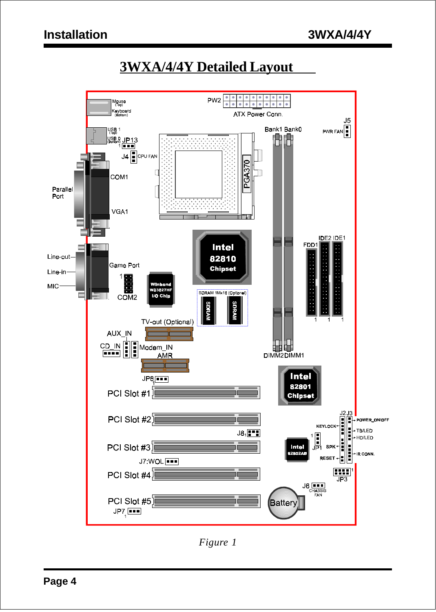## **3WXA/4/4Y Detailed Layout**



*Figure 1*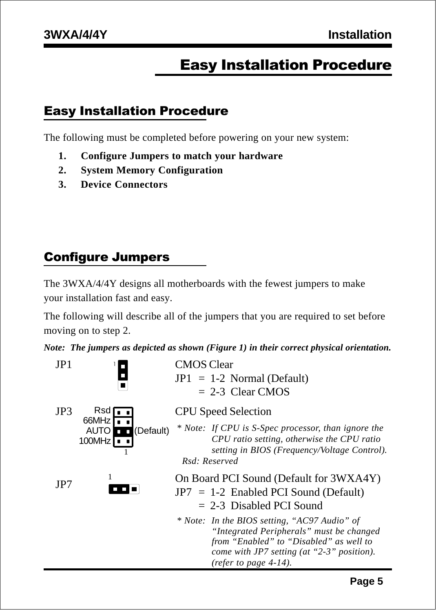## Easy Installation Procedure

### Easy Installation Procedure

The following must be completed before powering on your new system:

- **1. Configure Jumpers to match your hardware**
- **2. System Memory Configuration**
- **3. Device Connectors**

## Configure Jumpers

The 3WXA/4/4Y designs all motherboards with the fewest jumpers to make your installation fast and easy.

The following will describe all of the jumpers that you are required to set before moving on to step 2.

*Note: The jumpers as depicted as shown (Figure 1) in their correct physical orientation.*

| JP1 |                                                                                          | <b>CMOS</b> Clear<br>$JPI = 1-2$ Normal (Default)<br>$= 2-3$ Clear CMOS                                                                                                                                       |
|-----|------------------------------------------------------------------------------------------|---------------------------------------------------------------------------------------------------------------------------------------------------------------------------------------------------------------|
| JP3 | $Rsd$ $\Box$<br>66MHz $\Gamma$<br><b>AUTO</b><br><b>D</b> C (Default)<br>$100MHz$ $\Box$ | <b>CPU</b> Speed Selection<br>* Note: If CPU is S-Spec processor, than ignore the<br>CPU ratio setting, otherwise the CPU ratio<br>setting in BIOS (Frequency/Voltage Control).<br>Rsd: Reserved              |
| JP7 |                                                                                          | On Board PCI Sound (Default for 3WXA4Y)<br>$JPT = 1-2$ Enabled PCI Sound (Default)<br>$= 2-3$ Disabled PCI Sound                                                                                              |
|     |                                                                                          | * Note: In the BIOS setting, "AC97 Audio" of<br>"Integrated Peripherals" must be changed<br>from "Enabled" to "Disabled" as well to<br>come with JP7 setting (at "2-3" position).<br>(refer to page $4-14$ ). |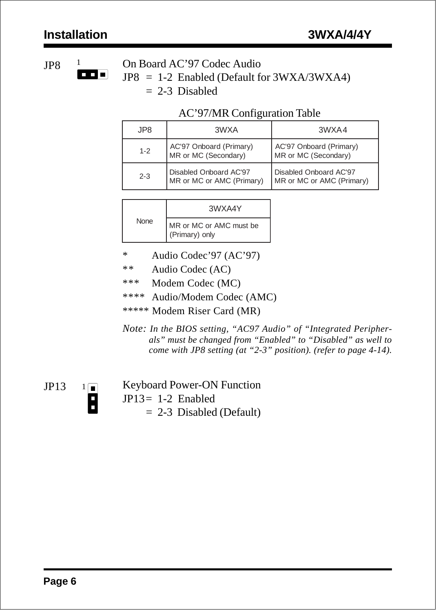# 1

JP8  $\frac{1}{\Box}$  On Board AC'97 Codec Audio

JP8 = 1-2 Enabled (Default for 3WXA/3WXA4)  $= 2-3$  Disabled

#### AC'97/MR Configuration Table

| JP8     | 3WXA                                                  | 3WXA4                                                 |
|---------|-------------------------------------------------------|-------------------------------------------------------|
| $1 - 2$ | AC'97 Onboard (Primary)<br>MR or MC (Secondary)       | AC'97 Onboard (Primary)<br>MR or MC (Secondary)       |
| $2 - 3$ | Disabled Onboard AC'97<br>  MR or MC or AMC (Primary) | Disabled Onboard AC'97<br>  MR or MC or AMC (Primary) |

|      | 3WXA4Y                                    |
|------|-------------------------------------------|
| None | MR or MC or AMC must be<br>(Primary) only |

- \* Audio Codec'97 (AC'97)
- \*\* Audio Codec (AC)
- \*\*\* Modem Codec (MC)
- \*\*\*\* Audio/Modem Codec (AMC)
- \*\*\*\*\* Modem Riser Card (MR)
- *Note: In the BIOS setting, "AC97 Audio" of "Integrated Peripherals" must be changed from "Enabled" to "Disabled" as well to come with JP8 setting (at "2-3" position). (refer to page 4-14).*

 $1\boxed{ }$ 

H

JP13  $1\blacksquare$  Keyboard Power-ON Function JP13= 1-2 Enabled  $= 2-3$  Disabled (Default)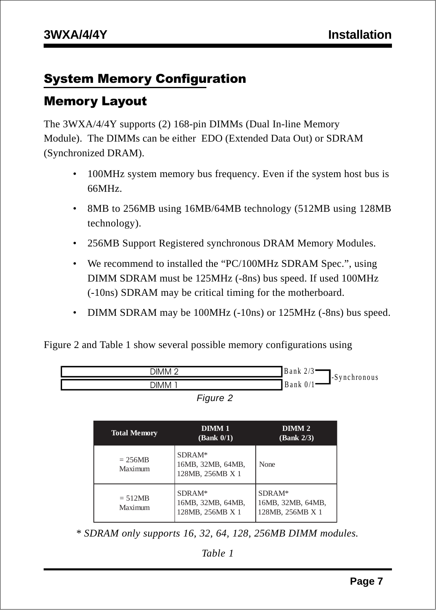### System Memory Configuration

#### Memory Layout

The 3WXA/4/4Y supports (2) 168-pin DIMMs (Dual In-line Memory Module). The DIMMs can be either EDO (Extended Data Out) or SDRAM (Synchronized DRAM).

- 100MHz system memory bus frequency. Even if the system host bus is 66MHz.
- 8MB to 256MB using 16MB/64MB technology (512MB using 128MB) technology).
- 256MB Support Registered synchronous DRAM Memory Modules.
- We recommend to installed the "PC/100MHz SDRAM Spec.", using DIMM SDRAM must be 125MHz (-8ns) bus speed. If used 100MHz (-10ns) SDRAM may be critical timing for the motherboard.
- DIMM SDRAM may be 100MHz (-10ns) or 125MHz (-8ns) bus speed.

Figure 2 and Table 1 show several possible memory configurations using



| ıaıır |  |
|-------|--|
|-------|--|

| <b>Total Memory</b>  | DIMM <sub>1</sub><br>(Bank 0/1)                 | DIMM <sub>2</sub><br>(Bank 2/3)                 |
|----------------------|-------------------------------------------------|-------------------------------------------------|
| $= 256MB$<br>Maximum | SDRAM*<br>16MB, 32MB, 64MB,<br>128MB, 256MB X 1 | None                                            |
| $= 512MB$<br>Maximum | SDRAM*<br>16MB, 32MB, 64MB,<br>128MB, 256MB X 1 | SDRAM*<br>16MB, 32MB, 64MB,<br>128MB, 256MB X 1 |

 *\* SDRAM only supports 16, 32, 64, 128, 256MB DIMM modules.*

*Table 1*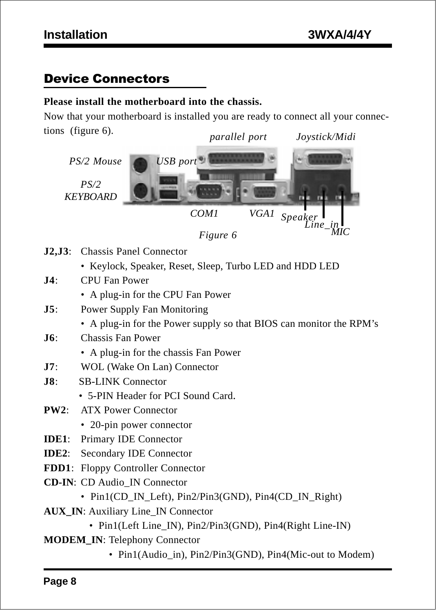### Device Connectors

#### **Please install the motherboard into the chassis.**

Now that your motherboard is installed you are ready to connect all your connections (figure 6). *parallel port Joystick/Midi*





- **J2,J3**: Chassis Panel Connector
	- Keylock, Speaker, Reset, Sleep, Turbo LED and HDD LED
- **J4**: CPU Fan Power
	- A plug-in for the CPU Fan Power
- **J5**: Power Supply Fan Monitoring
	- A plug-in for the Power supply so that BIOS can monitor the RPM's
- **J6**: Chassis Fan Power
	- A plug-in for the chassis Fan Power
- **J7**: WOL (Wake On Lan) Connector
- **J8**: SB-LINK Connector
	- 5-PIN Header for PCI Sound Card.
- **PW2**: ATX Power Connector
	- 20-pin power connector
- **IDE1**: Primary IDE Connector
- **IDE2**: Secondary IDE Connector
- **FDD1**: Floppy Controller Connector
- **CD-IN**: CD Audio\_IN Connector
	- Pin1(CD\_IN\_Left), Pin2/Pin3(GND), Pin4(CD\_IN\_Right)
- **AUX IN: Auxiliary Line IN Connector** 
	- Pin1(Left Line\_IN), Pin2/Pin3(GND), Pin4(Right Line-IN)
- **MODEM\_IN**: Telephony Connector
	- Pin1(Audio in), Pin2/Pin3(GND), Pin4(Mic-out to Modem)